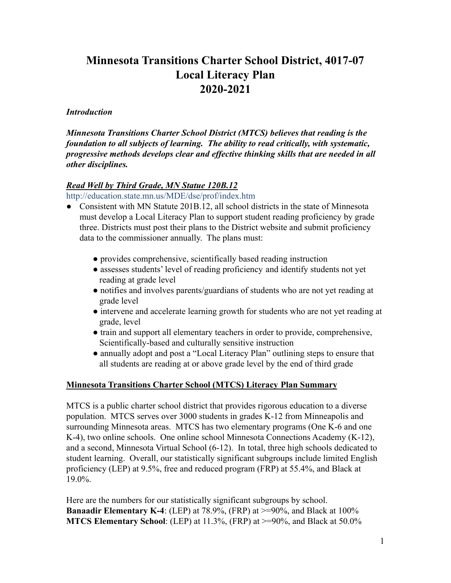# **Minnesota Transitions Charter School District, 4017-07 Local Literacy Plan 2020-2021**

#### *Introduction*

*Minnesota Transitions Charter School District (MTCS) believes that reading is the foundation to all subjects of learning. The ability to read critically, with systematic, progressive methods develops clear and effective thinking skills that are needed in all other disciplines.*

#### *Read Well by Third Grade, MN Statue 120B.12*

<http://education.state.mn.us/MDE/dse/prof/index.htm>

- Consistent with MN Statute 201B.12, all school districts in the state of Minnesota must develop a Local Literacy Plan to support student reading proficiency by grade three. Districts must post their plans to the District website and submit proficiency data to the commissioner annually. The plans must:
	- provides comprehensive, scientifically based reading instruction
	- assesses students' level of reading proficiency and identify students not yet reading at grade level
	- notifies and involves parents/guardians of students who are not yet reading at grade level
	- intervene and accelerate learning growth for students who are not yet reading at grade, level
	- train and support all elementary teachers in order to provide, comprehensive, Scientifically-based and culturally sensitive instruction
	- annually adopt and post a "Local Literacy Plan" outlining steps to ensure that all students are reading at or above grade level by the end of third grade

#### **Minnesota Transitions Charter School (MTCS) Literacy Plan Summary**

MTCS is a public charter school district that provides rigorous education to a diverse population. MTCS serves over 3000 students in grades K-12 from Minneapolis and surrounding Minnesota areas. MTCS has two elementary programs (One K-6 and one K-4), two online schools. One online school Minnesota Connections Academy (K-12), and a second, Minnesota Virtual School (6-12). In total, three high schools dedicated to student learning. Overall, our statistically significant subgroups include limited English proficiency (LEP) at 9.5%, free and reduced program (FRP) at 55.4%, and Black at 19.0%.

Here are the numbers for our statistically significant subgroups by school. **Banaadir Elementary K-4**: (LEP) at 78.9%, (FRP) at >=90%, and Black at 100% **MTCS Elementary School**: (LEP) at 11.3%, (FRP) at >=90%, and Black at 50.0%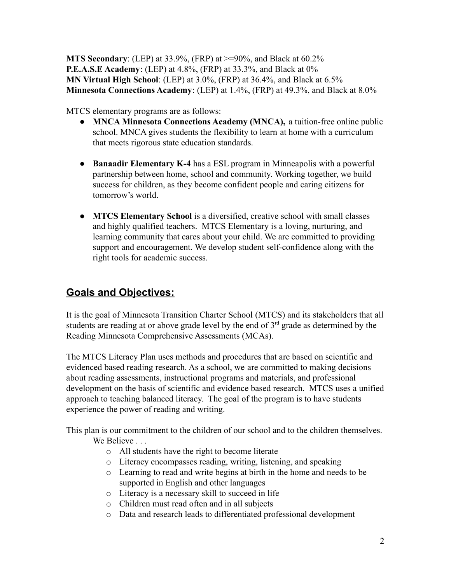**MTS Secondary**: (LEP) at 33.9%, (FRP) at >=90%, and Black at 60.2% **P.E.A.S.E Academy**: (LEP) at 4.8%, (FRP) at 33.3%, and Black at 0% **MN Virtual High School**: (LEP) at 3.0%, (FRP) at 36.4%, and Black at 6.5% **Minnesota Connections Academy**: (LEP) at 1.4%, (FRP) at 49.3%, and Black at 8.0%

MTCS elementary programs are as follows:

- **MNCA Minnesota Connections Academy (MNCA),** a tuition-free online public school. MNCA gives students the flexibility to learn at home with a curriculum that meets rigorous state education standards.
- **Banaadir Elementary K-4** has a ESL program in Minneapolis with a powerful partnership between home, school and community. Working together, we build success for children, as they become confident people and caring citizens for tomorrow's world.
- **[MTCS Elementary School](http://mtcs.org/schools/mts-elementary-school/)** is a diversified, creative school with small classes and highly qualified teachers. MTCS Elementary is a loving, nurturing, and learning community that cares about your child. We are committed to providing support and encouragement. We develop student self-confidence along with the right tools for academic success.

# **Goals and Objectives:**

It is the goal of Minnesota Transition Charter School (MTCS) and its stakeholders that all students are reading at or above grade level by the end of  $3<sup>rd</sup>$  grade as determined by the Reading Minnesota Comprehensive Assessments (MCAs).

The MTCS Literacy Plan uses methods and procedures that are based on scientific and evidenced based reading research. As a school, we are committed to making decisions about reading assessments, instructional programs and materials, and professional development on the basis of scientific and evidence based research. MTCS uses a unified approach to teaching balanced literacy. The goal of the program is to have students experience the power of reading and writing.

This plan is our commitment to the children of our school and to the children themselves.

We Believe ...

- o All students have the right to become literate
- o Literacy encompasses reading, writing, listening, and speaking
- o Learning to read and write begins at birth in the home and needs to be supported in English and other languages
- o Literacy is a necessary skill to succeed in life
- o Children must read often and in all subjects
- o Data and research leads to differentiated professional development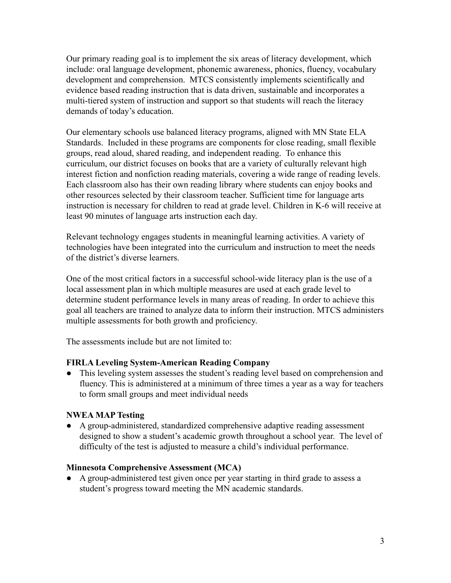Our primary reading goal is to implement the six areas of literacy development, which include: oral language development, phonemic awareness, phonics, fluency, vocabulary development and comprehension. MTCS consistently implements scientifically and evidence based reading instruction that is data driven, sustainable and incorporates a multi-tiered system of instruction and support so that students will reach the literacy demands of today's education.

Our elementary schools use balanced literacy programs, aligned with MN State ELA Standards. Included in these programs are components for close reading, small flexible groups, read aloud, shared reading, and independent reading. To enhance this curriculum, our district focuses on books that are a variety of culturally relevant high interest fiction and nonfiction reading materials, covering a wide range of reading levels. Each classroom also has their own reading library where students can enjoy books and other resources selected by their classroom teacher. Sufficient time for language arts instruction is necessary for children to read at grade level. Children in K-6 will receive at least 90 minutes of language arts instruction each day.

Relevant technology engages students in meaningful learning activities. A variety of technologies have been integrated into the curriculum and instruction to meet the needs of the district's diverse learners.

One of the most critical factors in a successful school-wide literacy plan is the use of a local assessment plan in which multiple measures are used at each grade level to determine student performance levels in many areas of reading. In order to achieve this goal all teachers are trained to analyze data to inform their instruction. MTCS administers multiple assessments for both growth and proficiency.

The assessments include but are not limited to:

#### **FIRLA Leveling System-American Reading Company**

• This leveling system assesses the student's reading level based on comprehension and fluency. This is administered at a minimum of three times a year as a way for teachers to form small groups and meet individual needs

#### **NWEA MAP Testing**

● A group-administered, standardized comprehensive adaptive reading assessment designed to show a student's academic growth throughout a school year. The level of difficulty of the test is adjusted to measure a child's individual performance.

#### **Minnesota Comprehensive Assessment (MCA)**

● A group-administered test given once per year starting in third grade to assess a student's progress toward meeting the MN academic standards.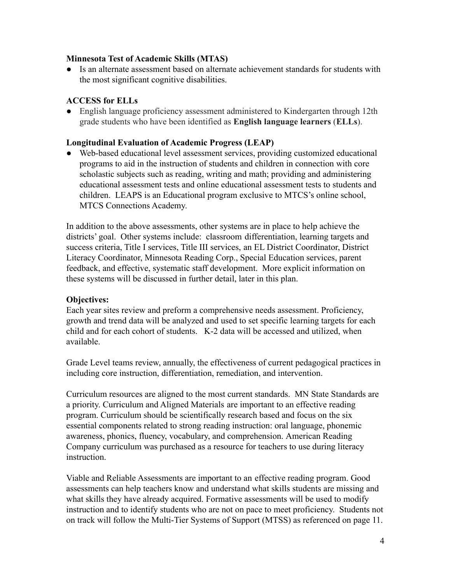#### **Minnesota Test of Academic Skills (MTAS)**

● Is an alternate assessment based on alternate achievement standards for students with the most significant cognitive disabilities.

### **ACCESS for ELLs**

● English language proficiency assessment administered to Kindergarten through 12th grade students who have been identified as **English language learners** (**ELLs**).

#### **Longitudinal Evaluation of Academic Progress (LEAP)**

● Web-based educational level assessment services, providing customized educational programs to aid in the instruction of students and children in connection with core scholastic subjects such as reading, writing and math; providing and administering educational assessment tests and online educational assessment tests to students and children. LEAPS is an Educational program exclusive to MTCS's online school, MTCS Connections Academy.

In addition to the above assessments, other systems are in place to help achieve the districts' goal. Other systems include: classroom differentiation, learning targets and success criteria, Title I services, Title III services, an EL District Coordinator, District Literacy Coordinator, Minnesota Reading Corp., Special Education services, parent feedback, and effective, systematic staff development. More explicit information on these systems will be discussed in further detail, later in this plan.

#### **Objectives:**

Each year sites review and preform a comprehensive needs assessment. Proficiency, growth and trend data will be analyzed and used to set specific learning targets for each child and for each cohort of students. K-2 data will be accessed and utilized, when available.

Grade Level teams review, annually, the effectiveness of current pedagogical practices in including core instruction, differentiation, remediation, and intervention.

Curriculum resources are aligned to the most current standards. MN State Standards are a priority. Curriculum and Aligned Materials are important to an effective reading program. Curriculum should be scientifically research based and focus on the six essential components related to strong reading instruction: oral language, phonemic awareness, phonics, fluency, vocabulary, and comprehension. American Reading Company curriculum was purchased as a resource for teachers to use during literacy instruction.

Viable and Reliable Assessments are important to an effective reading program. Good assessments can help teachers know and understand what skills students are missing and what skills they have already acquired. Formative assessments will be used to modify instruction and to identify students who are not on pace to meet proficiency. Students not on track will follow the Multi-Tier Systems of Support (MTSS) as referenced on page 11.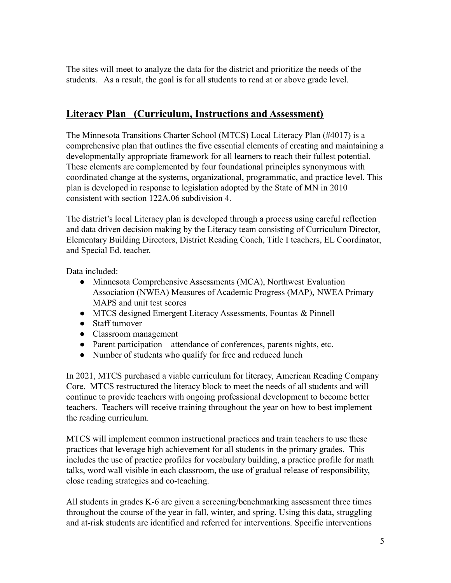The sites will meet to analyze the data for the district and prioritize the needs of the students. As a result, the goal is for all students to read at or above grade level.

# **Literacy Plan (Curriculum, Instructions and Assessment)**

The Minnesota Transitions Charter School (MTCS) Local Literacy Plan (#4017) is a comprehensive plan that outlines the five essential elements of creating and maintaining a developmentally appropriate framework for all learners to reach their fullest potential. These elements are complemented by four foundational principles synonymous with coordinated change at the systems, organizational, programmatic, and practice level. This plan is developed in response to legislation adopted by the State of MN in 2010 consistent with section 122A.06 subdivision 4.

The district's local Literacy plan is developed through a process using careful reflection and data driven decision making by the Literacy team consisting of Curriculum Director, Elementary Building Directors, District Reading Coach, Title I teachers, EL Coordinator, and Special Ed. teacher.

Data included:

- Minnesota Comprehensive Assessments (MCA), Northwest Evaluation Association (NWEA) Measures of Academic Progress (MAP), NWEA Primary MAPS and unit test scores
- MTCS designed Emergent Literacy Assessments, Fountas & Pinnell
- Staff turnover
- Classroom management
- Parent participation attendance of conferences, parents nights, etc.
- Number of students who qualify for free and reduced lunch

In 2021, MTCS purchased a viable curriculum for literacy, American Reading Company Core. MTCS restructured the literacy block to meet the needs of all students and will continue to provide teachers with ongoing professional development to become better teachers. Teachers will receive training throughout the year on how to best implement the reading curriculum.

MTCS will implement common instructional practices and train teachers to use these practices that leverage high achievement for all students in the primary grades. This includes the use of practice profiles for vocabulary building, a practice profile for math talks, word wall visible in each classroom, the use of gradual release of responsibility, close reading strategies and co-teaching.

All students in grades K-6 are given a screening/benchmarking assessment three times throughout the course of the year in fall, winter, and spring. Using this data, struggling and at-risk students are identified and referred for interventions. Specific interventions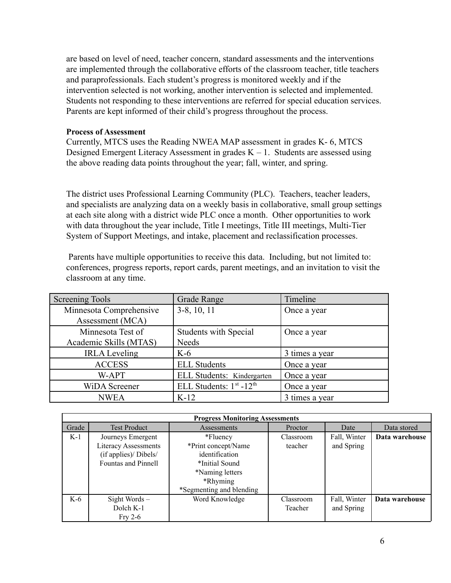are based on level of need, teacher concern, standard assessments and the interventions are implemented through the collaborative efforts of the classroom teacher, title teachers and paraprofessionals. Each student's progress is monitored weekly and if the intervention selected is not working, another intervention is selected and implemented. Students not responding to these interventions are referred for special education services. Parents are kept informed of their child's progress throughout the process.

#### **Process of Assessment**

Currently, MTCS uses the Reading NWEA MAP assessment in grades K- 6, MTCS Designed Emergent Literacy Assessment in grades  $K - 1$ . Students are assessed using the above reading data points throughout the year; fall, winter, and spring.

The district uses Professional Learning Community (PLC). Teachers, teacher leaders, and specialists are analyzing data on a weekly basis in collaborative, small group settings at each site along with a district wide PLC once a month. Other opportunities to work with data throughout the year include, Title I meetings, Title III meetings, Multi-Tier System of Support Meetings, and intake, placement and reclassification processes.

Parents have multiple opportunities to receive this data. Including, but not limited to: conferences, progress reports, report cards, parent meetings, and an invitation to visit the classroom at any time.

| <b>Screening Tools</b>  | Grade Range                                     | Timeline       |
|-------------------------|-------------------------------------------------|----------------|
| Minnesota Comprehensive | $3-8$ , 10, 11                                  | Once a year    |
| Assessment (MCA)        |                                                 |                |
| Minnesota Test of       | <b>Students with Special</b>                    | Once a year    |
| Academic Skills (MTAS)  | <b>Needs</b>                                    |                |
| <b>IRLA</b> Leveling    | $K-6$                                           | 3 times a year |
| <b>ACCESS</b>           | <b>ELL Students</b>                             | Once a year    |
| W-APT                   | ELL Students: Kindergarten                      | Once a year    |
| <b>WiDA</b> Screener    | ELL Students: 1 <sup>st</sup> -12 <sup>th</sup> | Once a year    |
| <b>NWEA</b>             | $K-12$                                          | 3 times a year |

| <b>Progress Monitoring Assessments</b> |                             |                          |           |              |                |  |
|----------------------------------------|-----------------------------|--------------------------|-----------|--------------|----------------|--|
| Grade                                  | <b>Test Product</b>         | Assessments              | Proctor   | Date         | Data stored    |  |
| K-1                                    | Journeys Emergent           | *Fluency                 | Classroom | Fall, Winter | Data warehouse |  |
|                                        | <b>Literacy Assessments</b> | *Print concept/Name      | teacher   | and Spring   |                |  |
|                                        | (if applies)/ Dibels/       | identification           |           |              |                |  |
|                                        | Fountas and Pinnell         | *Initial Sound           |           |              |                |  |
|                                        |                             | *Naming letters          |           |              |                |  |
|                                        |                             | *Rhyming                 |           |              |                |  |
|                                        |                             | *Segmenting and blending |           |              |                |  |
| K-6                                    | Sight Words $-$             | Word Knowledge           | Classroom | Fall, Winter | Data warehouse |  |
|                                        | Dolch K-1                   |                          | Teacher   | and Spring   |                |  |
|                                        | $Fry 2-6$                   |                          |           |              |                |  |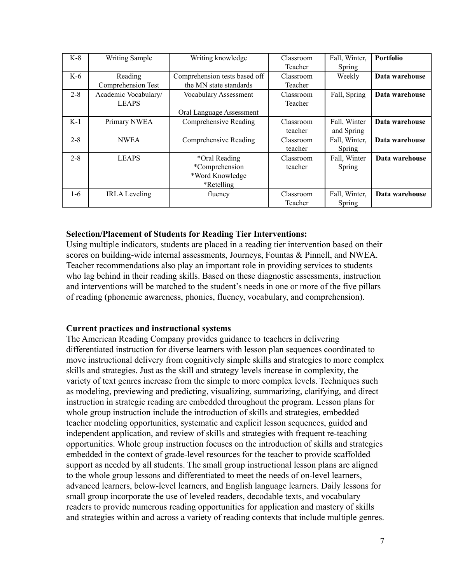| $K-8$   | <b>Writing Sample</b> | Writing knowledge             | Classroom        | Fall, Winter, | Portfolio      |
|---------|-----------------------|-------------------------------|------------------|---------------|----------------|
|         |                       |                               | Teacher          | Spring        |                |
| $K-6$   | Reading               | Comprehension tests based off | Classroom        | Weekly        | Data warehouse |
|         | Comprehension Test    | the MN state standards        | Teacher          |               |                |
| $2 - 8$ | Academic Vocabulary/  | Vocabulary Assessment         | Classroom        | Fall, Spring  | Data warehouse |
|         | <b>LEAPS</b>          |                               | Teacher          |               |                |
|         |                       | Oral Language Assessment      |                  |               |                |
| $K-1$   | Primary NWEA          | Comprehensive Reading         | <b>Classroom</b> | Fall, Winter  | Data warehouse |
|         |                       |                               | teacher          | and Spring    |                |
| $2 - 8$ | <b>NWEA</b>           | Comprehensive Reading         | Classroom        | Fall, Winter, | Data warehouse |
|         |                       |                               | teacher          | Spring        |                |
| $2 - 8$ | <b>LEAPS</b>          | *Oral Reading                 | Classroom        | Fall, Winter  | Data warehouse |
|         |                       | *Comprehension                | teacher          | Spring        |                |
|         |                       | *Word Knowledge               |                  |               |                |
|         |                       | *Retelling                    |                  |               |                |
| $1-6$   | <b>IRLA</b> Leveling  | fluency                       | Classroom        | Fall, Winter, | Data warehouse |
|         |                       |                               | Teacher          | Spring        |                |

#### **Selection/Placement of Students for Reading Tier Interventions:**

Using multiple indicators, students are placed in a reading tier intervention based on their scores on building-wide internal assessments, Journeys, Fountas & Pinnell, and NWEA. Teacher recommendations also play an important role in providing services to students who lag behind in their reading skills. Based on these diagnostic assessments, instruction and interventions will be matched to the student's needs in one or more of the five pillars of reading (phonemic awareness, phonics, fluency, vocabulary, and comprehension).

#### **Current practices and instructional systems**

The American Reading Company provides guidance to teachers in delivering differentiated instruction for diverse learners with lesson plan sequences coordinated to move instructional delivery from cognitively simple skills and strategies to more complex skills and strategies. Just as the skill and strategy levels increase in complexity, the variety of text genres increase from the simple to more complex levels. Techniques such as modeling, previewing and predicting, visualizing, summarizing, clarifying, and direct instruction in strategic reading are embedded throughout the program. Lesson plans for whole group instruction include the introduction of skills and strategies, embedded teacher modeling opportunities, systematic and explicit lesson sequences, guided and independent application, and review of skills and strategies with frequent re-teaching opportunities. Whole group instruction focuses on the introduction of skills and strategies embedded in the context of grade-level resources for the teacher to provide scaffolded support as needed by all students. The small group instructional lesson plans are aligned to the whole group lessons and differentiated to meet the needs of on-level learners, advanced learners, below-level learners, and English language learners. Daily lessons for small group incorporate the use of leveled readers, decodable texts, and vocabulary readers to provide numerous reading opportunities for application and mastery of skills and strategies within and across a variety of reading contexts that include multiple genres.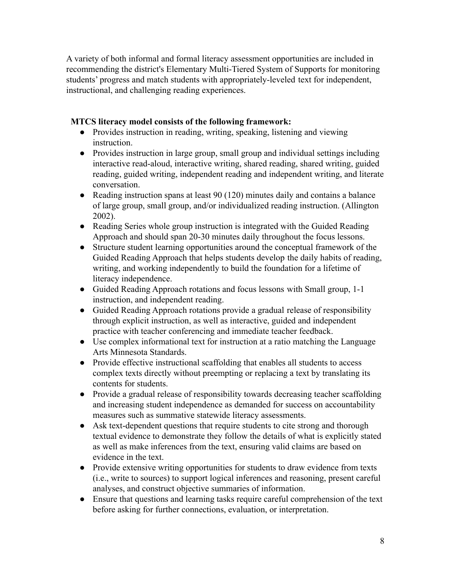A variety of both informal and formal literacy assessment opportunities are included in recommending the district's Elementary Multi-Tiered System of Supports for monitoring students' progress and match students with appropriately-leveled text for independent, instructional, and challenging reading experiences.

## **MTCS literacy model consists of the following framework:**

- Provides instruction in reading, writing, speaking, listening and viewing instruction.
- Provides instruction in large group, small group and individual settings including interactive read-aloud, interactive writing, shared reading, shared writing, guided reading, guided writing, independent reading and independent writing, and literate conversation.
- Reading instruction spans at least 90 (120) minutes daily and contains a balance of large group, small group, and/or individualized reading instruction. (Allington 2002).
- Reading Series whole group instruction is integrated with the Guided Reading Approach and should span 20-30 minutes daily throughout the focus lessons.
- Structure student learning opportunities around the conceptual framework of the Guided Reading Approach that helps students develop the daily habits of reading, writing, and working independently to build the foundation for a lifetime of literacy independence.
- Guided Reading Approach rotations and focus lessons with Small group, 1-1 instruction, and independent reading.
- Guided Reading Approach rotations provide a gradual release of responsibility through explicit instruction, as well as interactive, guided and independent practice with teacher conferencing and immediate teacher feedback.
- Use complex informational text for instruction at a ratio matching the Language Arts Minnesota Standards.
- Provide effective instructional scaffolding that enables all students to access complex texts directly without preempting or replacing a text by translating its contents for students.
- Provide a gradual release of responsibility towards decreasing teacher scaffolding and increasing student independence as demanded for success on accountability measures such as summative statewide literacy assessments.
- Ask text-dependent questions that require students to cite strong and thorough textual evidence to demonstrate they follow the details of what is explicitly stated as well as make inferences from the text, ensuring valid claims are based on evidence in the text.
- Provide extensive writing opportunities for students to draw evidence from texts (i.e., write to sources) to support logical inferences and reasoning, present careful analyses, and construct objective summaries of information.
- Ensure that questions and learning tasks require careful comprehension of the text before asking for further connections, evaluation, or interpretation.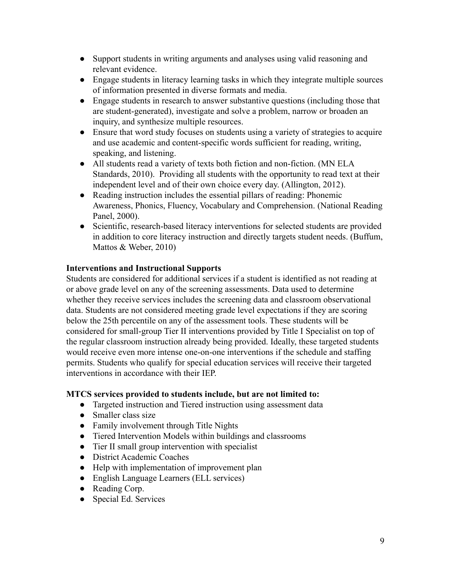- Support students in writing arguments and analyses using valid reasoning and relevant evidence.
- Engage students in literacy learning tasks in which they integrate multiple sources of information presented in diverse formats and media.
- Engage students in research to answer substantive questions (including those that are student-generated), investigate and solve a problem, narrow or broaden an inquiry, and synthesize multiple resources.
- Ensure that word study focuses on students using a variety of strategies to acquire and use academic and content-specific words sufficient for reading, writing, speaking, and listening.
- All students read a variety of texts both fiction and non-fiction. (MN ELA Standards, 2010). Providing all students with the opportunity to read text at their independent level and of their own choice every day. (Allington, 2012).
- Reading instruction includes the essential pillars of reading: Phonemic Awareness, Phonics, Fluency, Vocabulary and Comprehension. (National Reading Panel, 2000).
- Scientific, research-based literacy interventions for selected students are provided in addition to core literacy instruction and directly targets student needs. (Buffum, Mattos & Weber, 2010)

## **Interventions and Instructional Supports**

Students are considered for additional services if a student is identified as not reading at or above grade level on any of the screening assessments. Data used to determine whether they receive services includes the screening data and classroom observational data. Students are not considered meeting grade level expectations if they are scoring below the 25th percentile on any of the assessment tools. These students will be considered for small-group Tier II interventions provided by Title I Specialist on top of the regular classroom instruction already being provided. Ideally, these targeted students would receive even more intense one-on-one interventions if the schedule and staffing permits. Students who qualify for special education services will receive their targeted interventions in accordance with their IEP.

#### **MTCS services provided to students include, but are not limited to:**

- Targeted instruction and Tiered instruction using assessment data
- Smaller class size
- Family involvement through Title Nights
- Tiered Intervention Models within buildings and classrooms
- Tier II small group intervention with specialist
- District Academic Coaches
- Help with implementation of improvement plan
- English Language Learners (ELL services)
- Reading Corp.
- Special Ed. Services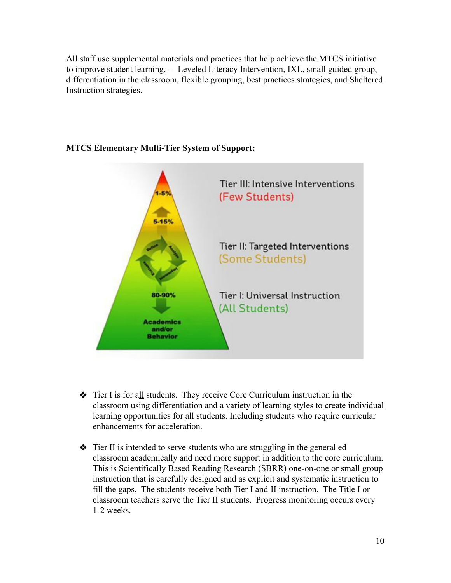All staff use supplemental materials and practices that help achieve the MTCS initiative to improve student learning. - Leveled Literacy Intervention, IXL, small guided group, differentiation in the classroom, flexible grouping, best practices strategies, and Sheltered Instruction strategies.



#### **MTCS Elementary Multi-Tier System of Support:**

- ❖ Tier I is for all students. They receive Core Curriculum instruction in the classroom using differentiation and a variety of learning styles to create individual learning opportunities for all students. Including students who require curricular enhancements for acceleration.
- ❖ Tier II is intended to serve students who are struggling in the general ed classroom academically and need more support in addition to the core curriculum. This is Scientifically Based Reading Research (SBRR) one-on-one or small group instruction that is carefully designed and as explicit and systematic instruction to fill the gaps. The students receive both Tier I and II instruction. The Title I or classroom teachers serve the Tier II students. Progress monitoring occurs every 1-2 weeks.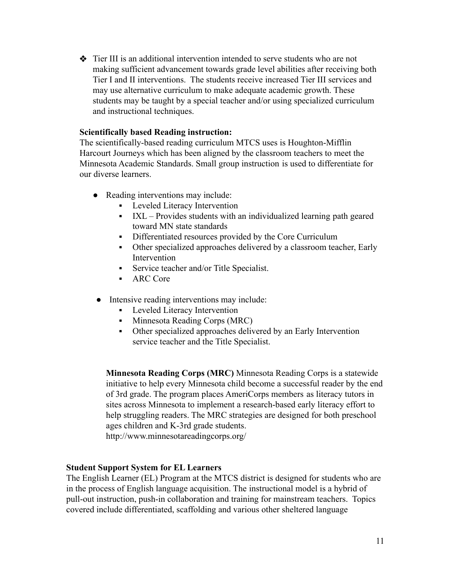❖ Tier III is an additional intervention intended to serve students who are not making sufficient advancement towards grade level abilities after receiving both Tier I and II interventions. The students receive increased Tier III services and may use alternative curriculum to make adequate academic growth. These students may be taught by a special teacher and/or using specialized curriculum and instructional techniques.

#### **Scientifically based Reading instruction:**

The scientifically-based reading curriculum MTCS uses is Houghton-Mifflin Harcourt Journeys which has been aligned by the classroom teachers to meet the Minnesota Academic Standards. Small group instruction is used to differentiate for our diverse learners.

- Reading interventions may include:
	- Leveled Literacy Intervention
	- IXL Provides students with an individualized learning path geared toward MN state standards
	- **•** Differentiated resources provided by the Core Curriculum
	- Other specialized approaches delivered by a classroom teacher, Early Intervention
	- Service teacher and/or Title Specialist.
	- ARC Core
- Intensive reading interventions may include:
	- **•** Leveled Literacy Intervention
	- Minnesota Reading Corps (MRC)
	- Other specialized approaches delivered by an Early Intervention service teacher and the Title Specialist.

**Minnesota Reading Corps (MRC)** Minnesota Reading Corps is a statewide initiative to help every Minnesota child become a successful reader by the end of 3rd grade. The program places AmeriCorps members as literacy tutors in sites across Minnesota to implement a research-based early literacy effort to help struggling readers. The MRC strategies are designed for both preschool ages children and K-3rd grade students.

http://www.minnesotareadingcorps.org/

#### **Student Support System for EL Learners**

The English Learner (EL) Program at the MTCS district is designed for students who are in the process of English language acquisition. The instructional model is a hybrid of pull-out instruction, push-in collaboration and training for mainstream teachers. Topics covered include differentiated, scaffolding and various other sheltered language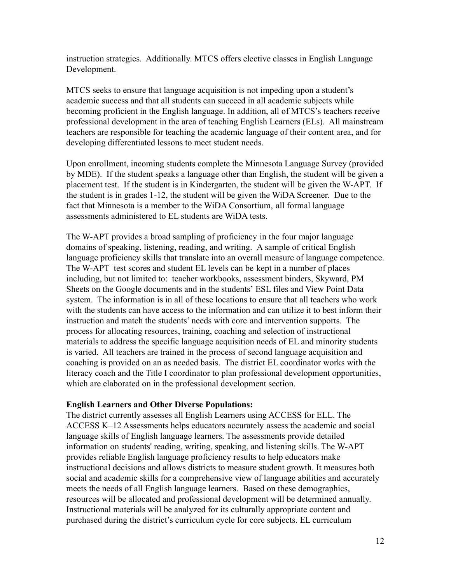instruction strategies. Additionally. MTCS offers elective classes in English Language Development.

MTCS seeks to ensure that language acquisition is not impeding upon a student's academic success and that all students can succeed in all academic subjects while becoming proficient in the English language. In addition, all of MTCS's teachers receive professional development in the area of teaching English Learners (ELs). All mainstream teachers are responsible for teaching the academic language of their content area, and for developing differentiated lessons to meet student needs.

Upon enrollment, incoming students complete the Minnesota Language Survey (provided by MDE). If the student speaks a language other than English, the student will be given a placement test. If the student is in Kindergarten, the student will be given the W-APT. If the student is in grades 1-12, the student will be given the WiDA Screener. Due to the fact that Minnesota is a member to the WiDA Consortium, all formal language assessments administered to EL students are WiDA tests.

The W-APT provides a broad sampling of proficiency in the four major language domains of speaking, listening, reading, and writing. A sample of critical English language proficiency skills that translate into an overall measure of language competence. The W-APT test scores and student EL levels can be kept in a number of places including, but not limited to: teacher workbooks, assessment binders, Skyward, PM Sheets on the Google documents and in the students' ESL files and View Point Data system. The information is in all of these locations to ensure that all teachers who work with the students can have access to the information and can utilize it to best inform their instruction and match the students' needs with core and intervention supports. The process for allocating resources, training, coaching and selection of instructional materials to address the specific language acquisition needs of EL and minority students is varied. All teachers are trained in the process of second language acquisition and coaching is provided on an as needed basis. The district EL coordinator works with the literacy coach and the Title I coordinator to plan professional development opportunities, which are elaborated on in the professional development section.

#### **English Learners and Other Diverse Populations:**

The district currently assesses all English Learners using ACCESS for ELL. The ACCESS K–12 Assessments helps educators accurately assess the academic and social language skills of English language learners. The assessments provide detailed information on students' reading, writing, speaking, and listening skills. The W-APT provides reliable English language proficiency results to help educators make instructional decisions and allows districts to measure student growth. It measures both social and academic skills for a comprehensive view of language abilities and accurately meets the needs of all English language learners. Based on these demographics, resources will be allocated and professional development will be determined annually. Instructional materials will be analyzed for its culturally appropriate content and purchased during the district's curriculum cycle for core subjects. EL curriculum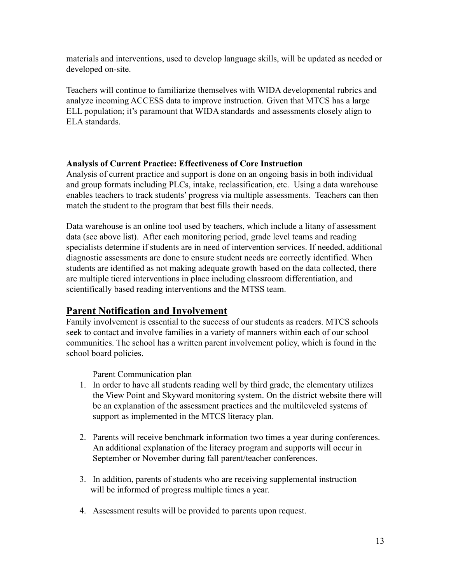materials and interventions, used to develop language skills, will be updated as needed or developed on-site.

Teachers will continue to familiarize themselves with WIDA developmental rubrics and analyze incoming ACCESS data to improve instruction. Given that MTCS has a large ELL population; it's paramount that WIDA standards and assessments closely align to ELA standards.

#### **Analysis of Current Practice: Effectiveness of Core Instruction**

Analysis of current practice and support is done on an ongoing basis in both individual and group formats including PLCs, intake, reclassification, etc. Using a data warehouse enables teachers to track students' progress via multiple assessments. Teachers can then match the student to the program that best fills their needs.

Data warehouse is an online tool used by teachers, which include a litany of assessment data (see above list). After each monitoring period, grade level teams and reading specialists determine if students are in need of intervention services. If needed, additional diagnostic assessments are done to ensure student needs are correctly identified. When students are identified as not making adequate growth based on the data collected, there are multiple tiered interventions in place including classroom differentiation, and scientifically based reading interventions and the MTSS team.

# **Parent Notification and Involvement**

Family involvement is essential to the success of our students as readers. MTCS schools seek to contact and involve families in a variety of manners within each of our school communities. The school has a written parent involvement policy, which is found in the school board policies.

Parent Communication plan

- 1. In order to have all students reading well by third grade, the elementary utilizes the View Point and Skyward monitoring system. On the district website there will be an explanation of the assessment practices and the multileveled systems of support as implemented in the MTCS literacy plan.
- 2. Parents will receive benchmark information two times a year during conferences. An additional explanation of the literacy program and supports will occur in September or November during fall parent/teacher conferences.
- 3. In addition, parents of students who are receiving supplemental instruction will be informed of progress multiple times a year.
- 4. Assessment results will be provided to parents upon request.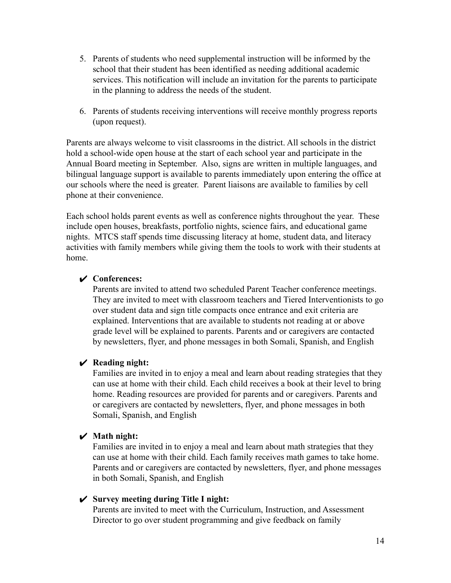- 5. Parents of students who need supplemental instruction will be informed by the school that their student has been identified as needing additional academic services. This notification will include an invitation for the parents to participate in the planning to address the needs of the student.
- 6. Parents of students receiving interventions will receive monthly progress reports (upon request).

Parents are always welcome to visit classrooms in the district. All schools in the district hold a school-wide open house at the start of each school year and participate in the Annual Board meeting in September. Also, signs are written in multiple languages, and bilingual language support is available to parents immediately upon entering the office at our schools where the need is greater. Parent liaisons are available to families by cell phone at their convenience.

Each school holds parent events as well as conference nights throughout the year. These include open houses, breakfasts, portfolio nights, science fairs, and educational game nights. MTCS staff spends time discussing literacy at home, student data, and literacy activities with family members while giving them the tools to work with their students at home.

#### ✔ **Conferences:**

Parents are invited to attend two scheduled Parent Teacher conference meetings. They are invited to meet with classroom teachers and Tiered Interventionists to go over student data and sign title compacts once entrance and exit criteria are explained. Interventions that are available to students not reading at or above grade level will be explained to parents. Parents and or caregivers are contacted by newsletters, flyer, and phone messages in both Somali, Spanish, and English

#### ✔ **Reading night:**

Families are invited in to enjoy a meal and learn about reading strategies that they can use at home with their child. Each child receives a book at their level to bring home. Reading resources are provided for parents and or caregivers. Parents and or caregivers are contacted by newsletters, flyer, and phone messages in both Somali, Spanish, and English

#### ✔ **Math night:**

Families are invited in to enjoy a meal and learn about math strategies that they can use at home with their child. Each family receives math games to take home. Parents and or caregivers are contacted by newsletters, flyer, and phone messages in both Somali, Spanish, and English

#### ✔ **Survey meeting during Title I night:**

Parents are invited to meet with the Curriculum, Instruction, and Assessment Director to go over student programming and give feedback on family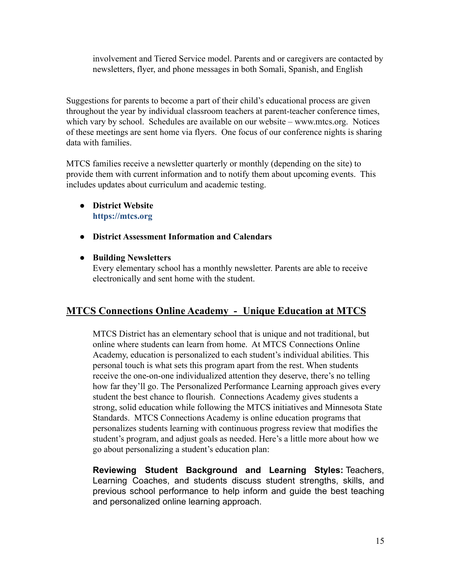involvement and Tiered Service model. Parents and or caregivers are contacted by newsletters, flyer, and phone messages in both Somali, Spanish, and English

Suggestions for parents to become a part of their child's educational process are given throughout the year by individual classroom teachers at parent-teacher conference times, which vary by school. Schedules are available on our website – www.mtcs.org. Notices of these meetings are sent home via flyers. One focus of our conference nights is sharing data with families.

MTCS families receive a newsletter quarterly or monthly (depending on the site) to provide them with current information and to notify them about upcoming events. This includes updates about curriculum and academic testing.

## ● **District Website <https://mtcs.org>**

- **District Assessment Information and Calendars**
- **Building Newsletters**

Every elementary school has a monthly newsletter. Parents are able to receive electronically and sent home with the student.

# **MTCS Connections Online Academy - Unique Education at MTCS**

MTCS District has an elementary school that is unique and not traditional, but online where students can learn from home. At MTCS Connections Online Academy, education is personalized to each student's individual abilities. This personal touch is what sets this program apart from the rest. When students receive the one-on-one individualized attention they deserve, there's no telling how far they'll go. The Personalized Performance Learning approach gives every student the best chance to flourish. Connections Academy gives students a strong, solid education while following the MTCS initiatives and Minnesota State Standards. MTCS Connections Academy is online education programs that personalizes students learning with continuous progress review that modifies the student's program, and adjust goals as needed. Here's a little more about how we go about personalizing a student's education plan:

**Reviewing Student Background and Learning Styles:** Teachers, Learning Coaches, and students discuss student strengths, skills, and previous school performance to help inform and guide the best teaching and personalized online learning approach.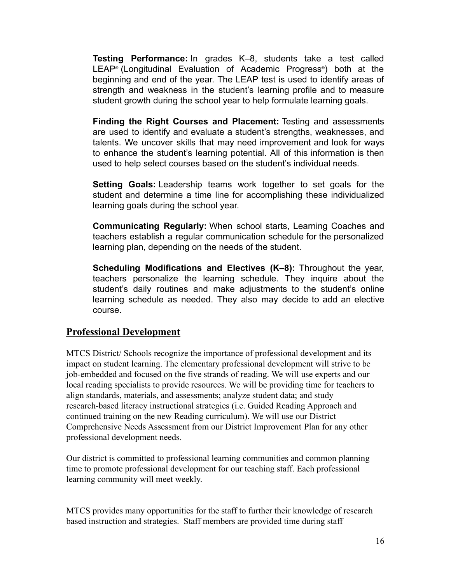**Testing Performance:** In grades K–8, students take a test called LEAP® (Longitudinal Evaluation of Academic Progress®) both at the beginning and end of the year. The LEAP test is used to identify areas of strength and weakness in the student's learning profile and to measure student growth during the school year to help formulate learning goals.

**Finding the Right Courses and Placement:** Testing and assessments are used to identify and evaluate a student's strengths, weaknesses, and talents. We uncover skills that may need improvement and look for ways to enhance the student's learning potential. All of this information is then used to help select courses based on the student's individual needs.

**Setting Goals:** Leadership teams work together to set goals for the student and determine a time line for accomplishing these individualized learning goals during the school year.

**Communicating Regularly:** When school starts, Learning Coaches and teachers establish a regular communication schedule for the personalized learning plan, depending on the needs of the student.

**Scheduling Modifications and Electives (K–8):** Throughout the year, teachers personalize the learning schedule. They inquire about the student's daily routines and make adjustments to the student's online learning schedule as needed. They also may decide to add an elective course.

## **Professional Development**

MTCS District/ Schools recognize the importance of professional development and its impact on student learning. The elementary professional development will strive to be job-embedded and focused on the five strands of reading. We will use experts and our local reading specialists to provide resources. We will be providing time for teachers to align standards, materials, and assessments; analyze student data; and study research-based literacy instructional strategies (i.e. Guided Reading Approach and continued training on the new Reading curriculum). We will use our District Comprehensive Needs Assessment from our District Improvement Plan for any other professional development needs.

Our district is committed to professional learning communities and common planning time to promote professional development for our teaching staff. Each professional learning community will meet weekly.

MTCS provides many opportunities for the staff to further their knowledge of research based instruction and strategies. Staff members are provided time during staff